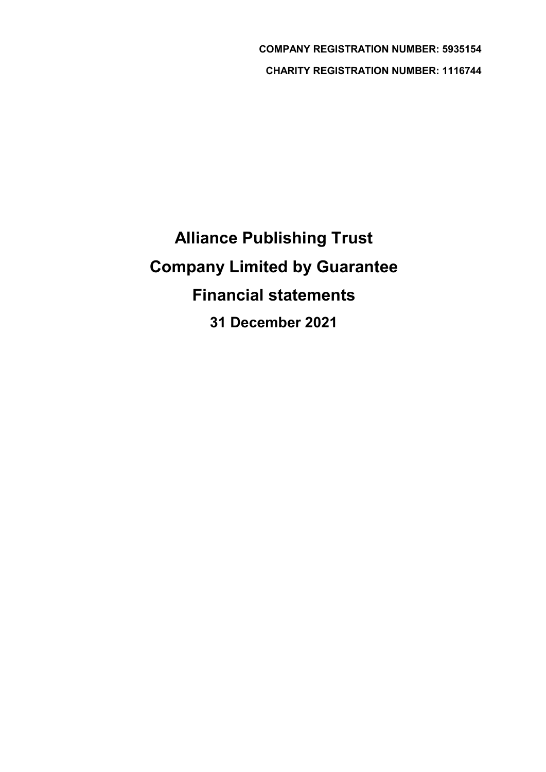COMPANY REGISTRATION NUMBER: 5935154 CHARITY REGISTRATION NUMBER: 1116744

Alliance Publishing Trust Company Limited by Guarantee Financial statements 31 December 2021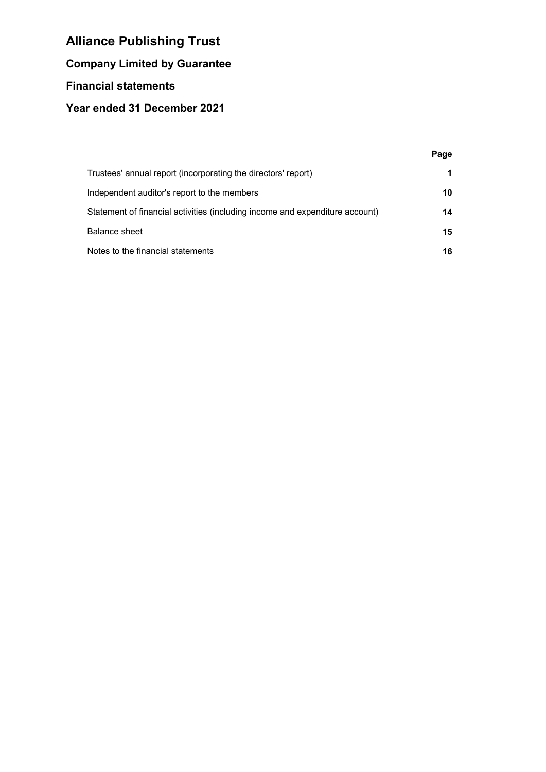# Company Limited by Guarantee

# Financial statements

## Year ended 31 December 2021

|                                                                              | Page |
|------------------------------------------------------------------------------|------|
| Trustees' annual report (incorporating the directors' report)                |      |
| Independent auditor's report to the members                                  | 10   |
| Statement of financial activities (including income and expenditure account) | 14   |
| Balance sheet                                                                | 15   |
| Notes to the financial statements                                            | 16   |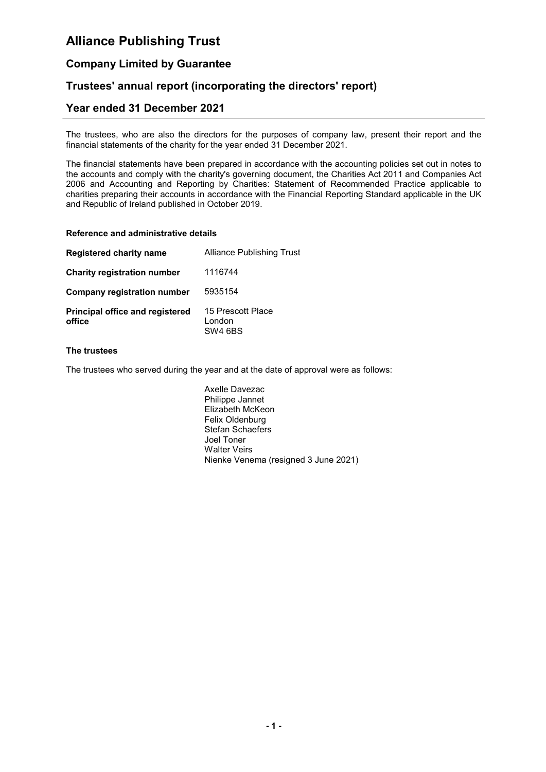### Company Limited by Guarantee

### Trustees' annual report (incorporating the directors' report)

### Year ended 31 December 2021

The trustees, who are also the directors for the purposes of company law, present their report and the financial statements of the charity for the year ended 31 December 2021.

The financial statements have been prepared in accordance with the accounting policies set out in notes to the accounts and comply with the charity's governing document, the Charities Act 2011 and Companies Act 2006 and Accounting and Reporting by Charities: Statement of Recommended Practice applicable to charities preparing their accounts in accordance with the Financial Reporting Standard applicable in the UK and Republic of Ireland published in October 2019.

#### Reference and administrative details

| <b>Registered charity name</b>                   | Alliance Publishing Trust              |
|--------------------------------------------------|----------------------------------------|
| <b>Charity registration number</b>               | 1116744                                |
| <b>Company registration number</b>               | 5935154                                |
| <b>Principal office and registered</b><br>office | 15 Prescott Place<br>London<br>SW4 6BS |

#### The trustees

The trustees who served during the year and at the date of approval were as follows:

Axelle Davezac Philippe Jannet Elizabeth McKeon Felix Oldenburg Stefan Schaefers Joel Toner Walter Veirs Nienke Venema (resigned 3 June 2021)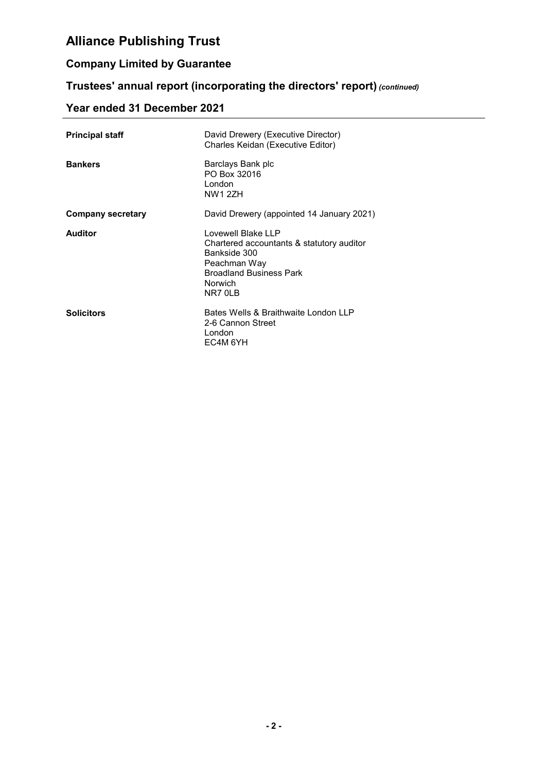## Company Limited by Guarantee

## Trustees' annual report (incorporating the directors' report) (continued)

# Year ended 31 December 2021

| <b>Principal staff</b>   | David Drewery (Executive Director)<br>Charles Keidan (Executive Editor)                                                                                 |
|--------------------------|---------------------------------------------------------------------------------------------------------------------------------------------------------|
| <b>Bankers</b>           | Barclays Bank plc<br>PO Box 32016<br>London<br><b>NW1 2ZH</b>                                                                                           |
| <b>Company secretary</b> | David Drewery (appointed 14 January 2021)                                                                                                               |
| <b>Auditor</b>           | Lovewell Blake LLP<br>Chartered accountants & statutory auditor<br>Bankside 300<br>Peachman Way<br><b>Broadland Business Park</b><br>Norwich<br>NR7 OLB |
| <b>Solicitors</b>        | Bates Wells & Braithwaite London LLP<br>2-6 Cannon Street<br>London<br>EC4M 6YH                                                                         |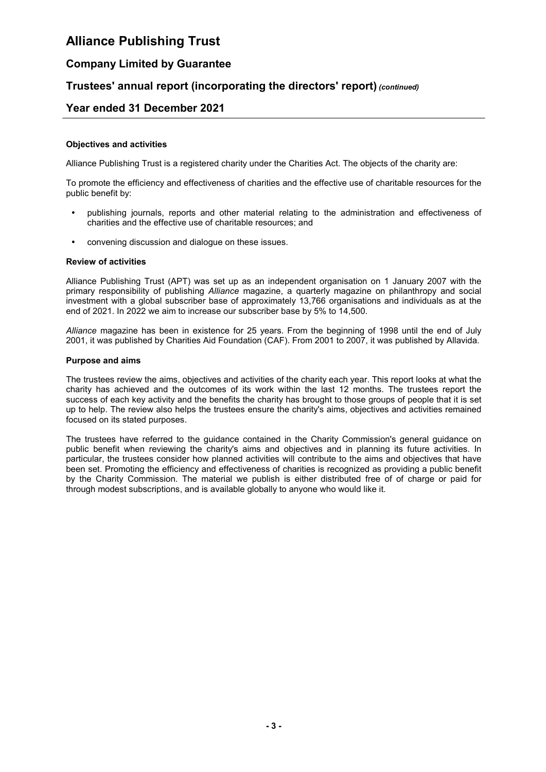### Company Limited by Guarantee

### Trustees' annual report (incorporating the directors' report) (continued)

### Year ended 31 December 2021

#### Objectives and activities

Alliance Publishing Trust is a registered charity under the Charities Act. The objects of the charity are:

To promote the efficiency and effectiveness of charities and the effective use of charitable resources for the public benefit by:

- publishing journals, reports and other material relating to the administration and effectiveness of charities and the effective use of charitable resources; and
- convening discussion and dialogue on these issues.

#### Review of activities

Alliance Publishing Trust (APT) was set up as an independent organisation on 1 January 2007 with the primary responsibility of publishing Alliance magazine, a quarterly magazine on philanthropy and social investment with a global subscriber base of approximately 13,766 organisations and individuals as at the end of 2021. In 2022 we aim to increase our subscriber base by 5% to 14,500.

Alliance magazine has been in existence for 25 years. From the beginning of 1998 until the end of July 2001, it was published by Charities Aid Foundation (CAF). From 2001 to 2007, it was published by Allavida.

#### Purpose and aims

The trustees review the aims, objectives and activities of the charity each year. This report looks at what the charity has achieved and the outcomes of its work within the last 12 months. The trustees report the success of each key activity and the benefits the charity has brought to those groups of people that it is set up to help. The review also helps the trustees ensure the charity's aims, objectives and activities remained focused on its stated purposes.

The trustees have referred to the guidance contained in the Charity Commission's general guidance on public benefit when reviewing the charity's aims and objectives and in planning its future activities. In particular, the trustees consider how planned activities will contribute to the aims and objectives that have been set. Promoting the efficiency and effectiveness of charities is recognized as providing a public benefit by the Charity Commission. The material we publish is either distributed free of of charge or paid for through modest subscriptions, and is available globally to anyone who would like it.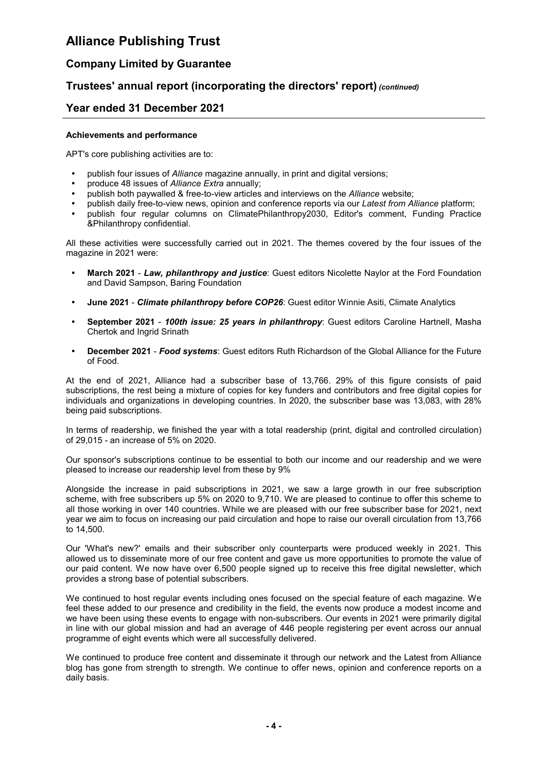### Company Limited by Guarantee

### Trustees' annual report (incorporating the directors' report) (continued)

### Year ended 31 December 2021

#### Achievements and performance

APT's core publishing activities are to:

- publish four issues of Alliance magazine annually, in print and digital versions;
- produce 48 issues of Alliance Extra annually;
- publish both paywalled & free-to-view articles and interviews on the Alliance website;
- publish daily free-to-view news, opinion and conference reports via our Latest from Alliance platform;
- publish four regular columns on ClimatePhilanthropy2030, Editor's comment, Funding Practice &Philanthropy confidential.

All these activities were successfully carried out in 2021. The themes covered by the four issues of the magazine in 2021 were:

- March 2021 Law, philanthropy and justice: Guest editors Nicolette Naylor at the Ford Foundation and David Sampson, Baring Foundation
- June 2021 Climate philanthropy before COP26: Guest editor Winnie Asiti, Climate Analytics
- September 2021 100th issue: 25 years in philanthropy: Guest editors Caroline Hartnell, Masha Chertok and Ingrid Srinath
- December 2021 Food systems: Guest editors Ruth Richardson of the Global Alliance for the Future of Food.

At the end of 2021, Alliance had a subscriber base of 13,766. 29% of this figure consists of paid subscriptions, the rest being a mixture of copies for key funders and contributors and free digital copies for individuals and organizations in developing countries. In 2020, the subscriber base was 13,083, with 28% being paid subscriptions.

In terms of readership, we finished the year with a total readership (print, digital and controlled circulation) of 29,015 - an increase of 5% on 2020.

Our sponsor's subscriptions continue to be essential to both our income and our readership and we were pleased to increase our readership level from these by 9%

Alongside the increase in paid subscriptions in 2021, we saw a large growth in our free subscription scheme, with free subscribers up 5% on 2020 to 9,710. We are pleased to continue to offer this scheme to all those working in over 140 countries. While we are pleased with our free subscriber base for 2021, next year we aim to focus on increasing our paid circulation and hope to raise our overall circulation from 13,766 to 14,500.

Our 'What's new?' emails and their subscriber only counterparts were produced weekly in 2021. This allowed us to disseminate more of our free content and gave us more opportunities to promote the value of our paid content. We now have over 6,500 people signed up to receive this free digital newsletter, which provides a strong base of potential subscribers.

We continued to host regular events including ones focused on the special feature of each magazine. We feel these added to our presence and credibility in the field, the events now produce a modest income and we have been using these events to engage with non-subscribers. Our events in 2021 were primarily digital in line with our global mission and had an average of 446 people registering per event across our annual programme of eight events which were all successfully delivered.

We continued to produce free content and disseminate it through our network and the Latest from Alliance blog has gone from strength to strength. We continue to offer news, opinion and conference reports on a daily basis.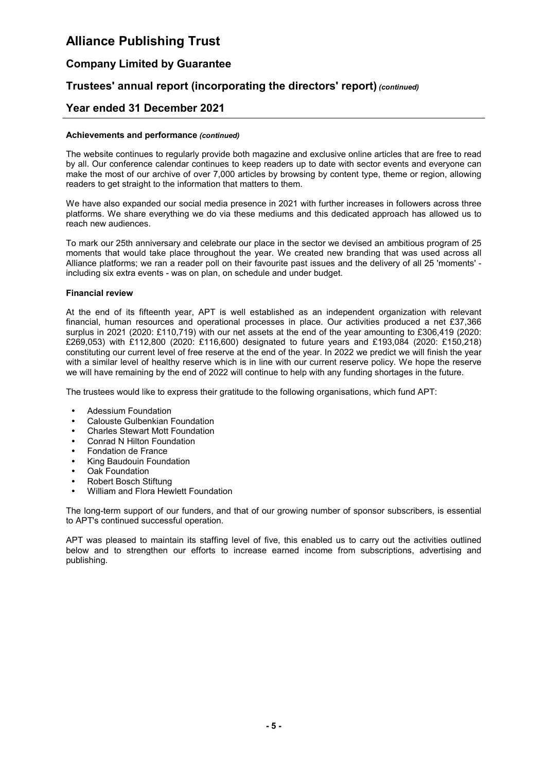### Company Limited by Guarantee

### Trustees' annual report (incorporating the directors' report) (continued)

### Year ended 31 December 2021

#### Achievements and performance (continued)

The website continues to regularly provide both magazine and exclusive online articles that are free to read by all. Our conference calendar continues to keep readers up to date with sector events and everyone can make the most of our archive of over 7,000 articles by browsing by content type, theme or region, allowing readers to get straight to the information that matters to them.

We have also expanded our social media presence in 2021 with further increases in followers across three platforms. We share everything we do via these mediums and this dedicated approach has allowed us to reach new audiences.

To mark our 25th anniversary and celebrate our place in the sector we devised an ambitious program of 25 moments that would take place throughout the year. We created new branding that was used across all Alliance platforms; we ran a reader poll on their favourite past issues and the delivery of all 25 'moments' including six extra events - was on plan, on schedule and under budget.

#### Financial review

At the end of its fifteenth year, APT is well established as an independent organization with relevant financial, human resources and operational processes in place. Our activities produced a net £37,366 surplus in 2021 (2020: £110,719) with our net assets at the end of the year amounting to £306,419 (2020: £269,053) with £112,800 (2020: £116,600) designated to future years and £193,084 (2020: £150,218) constituting our current level of free reserve at the end of the year. In 2022 we predict we will finish the year with a similar level of healthy reserve which is in line with our current reserve policy. We hope the reserve we will have remaining by the end of 2022 will continue to help with any funding shortages in the future.

The trustees would like to express their gratitude to the following organisations, which fund APT:

- Adessium Foundation
- Calouste Gulbenkian Foundation
- Charles Stewart Mott Foundation
- Conrad N Hilton Foundation
- Fondation de France
- King Baudouin Foundation
- Oak Foundation
- Robert Bosch Stiftung
- William and Flora Hewlett Foundation

The long-term support of our funders, and that of our growing number of sponsor subscribers, is essential to APT's continued successful operation.

APT was pleased to maintain its staffing level of five, this enabled us to carry out the activities outlined below and to strengthen our efforts to increase earned income from subscriptions, advertising and publishing.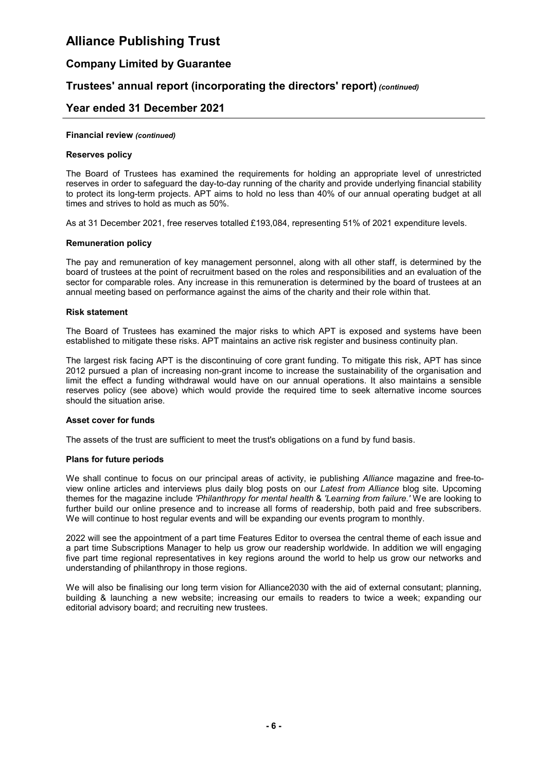### Company Limited by Guarantee

### Trustees' annual report (incorporating the directors' report) (continued)

### Year ended 31 December 2021

#### Financial review (continued)

#### Reserves policy

The Board of Trustees has examined the requirements for holding an appropriate level of unrestricted reserves in order to safeguard the day-to-day running of the charity and provide underlying financial stability to protect its long-term projects. APT aims to hold no less than 40% of our annual operating budget at all times and strives to hold as much as 50%.

As at 31 December 2021, free reserves totalled £193,084, representing 51% of 2021 expenditure levels.

#### Remuneration policy

The pay and remuneration of key management personnel, along with all other staff, is determined by the board of trustees at the point of recruitment based on the roles and responsibilities and an evaluation of the sector for comparable roles. Any increase in this remuneration is determined by the board of trustees at an annual meeting based on performance against the aims of the charity and their role within that.

#### Risk statement

The Board of Trustees has examined the major risks to which APT is exposed and systems have been established to mitigate these risks. APT maintains an active risk register and business continuity plan.

The largest risk facing APT is the discontinuing of core grant funding. To mitigate this risk, APT has since 2012 pursued a plan of increasing non-grant income to increase the sustainability of the organisation and limit the effect a funding withdrawal would have on our annual operations. It also maintains a sensible reserves policy (see above) which would provide the required time to seek alternative income sources should the situation arise.

#### Asset cover for funds

The assets of the trust are sufficient to meet the trust's obligations on a fund by fund basis.

#### Plans for future periods

We shall continue to focus on our principal areas of activity, ie publishing Alliance magazine and free-toview online articles and interviews plus daily blog posts on our Latest from Alliance blog site. Upcoming themes for the magazine include 'Philanthropy for mental health & 'Learning from failure.' We are looking to further build our online presence and to increase all forms of readership, both paid and free subscribers. We will continue to host regular events and will be expanding our events program to monthly.

2022 will see the appointment of a part time Features Editor to oversea the central theme of each issue and a part time Subscriptions Manager to help us grow our readership worldwide. In addition we will engaging five part time regional representatives in key regions around the world to help us grow our networks and understanding of philanthropy in those regions.

We will also be finalising our long term vision for Alliance 2030 with the aid of external consutant; planning, building & launching a new website; increasing our emails to readers to twice a week; expanding our editorial advisory board; and recruiting new trustees.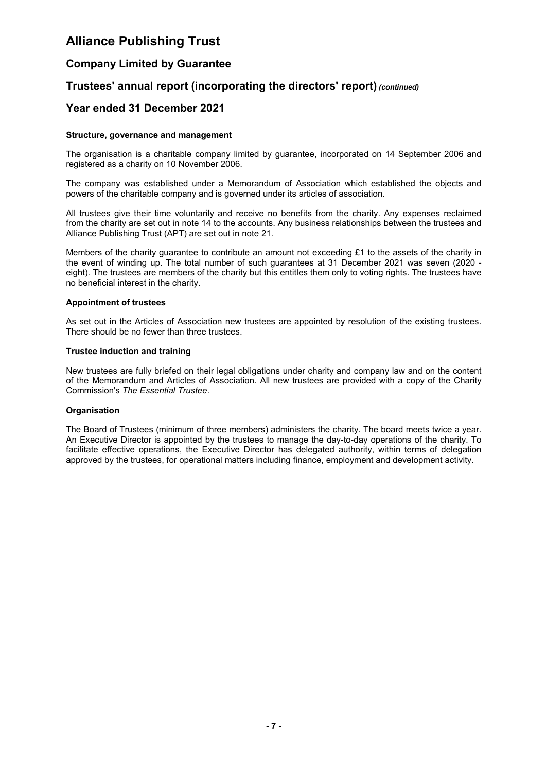### Company Limited by Guarantee

### Trustees' annual report (incorporating the directors' report) (continued)

### Year ended 31 December 2021

#### Structure, governance and management

The organisation is a charitable company limited by guarantee, incorporated on 14 September 2006 and registered as a charity on 10 November 2006.

The company was established under a Memorandum of Association which established the objects and powers of the charitable company and is governed under its articles of association.

All trustees give their time voluntarily and receive no benefits from the charity. Any expenses reclaimed from the charity are set out in note 14 to the accounts. Any business relationships between the trustees and Alliance Publishing Trust (APT) are set out in note 21.

Members of the charity guarantee to contribute an amount not exceeding £1 to the assets of the charity in the event of winding up. The total number of such guarantees at 31 December 2021 was seven (2020 eight). The trustees are members of the charity but this entitles them only to voting rights. The trustees have no beneficial interest in the charity.

#### Appointment of trustees

As set out in the Articles of Association new trustees are appointed by resolution of the existing trustees. There should be no fewer than three trustees.

#### Trustee induction and training

New trustees are fully briefed on their legal obligations under charity and company law and on the content of the Memorandum and Articles of Association. All new trustees are provided with a copy of the Charity Commission's The Essential Trustee.

#### **Organisation**

The Board of Trustees (minimum of three members) administers the charity. The board meets twice a year. An Executive Director is appointed by the trustees to manage the day-to-day operations of the charity. To facilitate effective operations, the Executive Director has delegated authority, within terms of delegation approved by the trustees, for operational matters including finance, employment and development activity.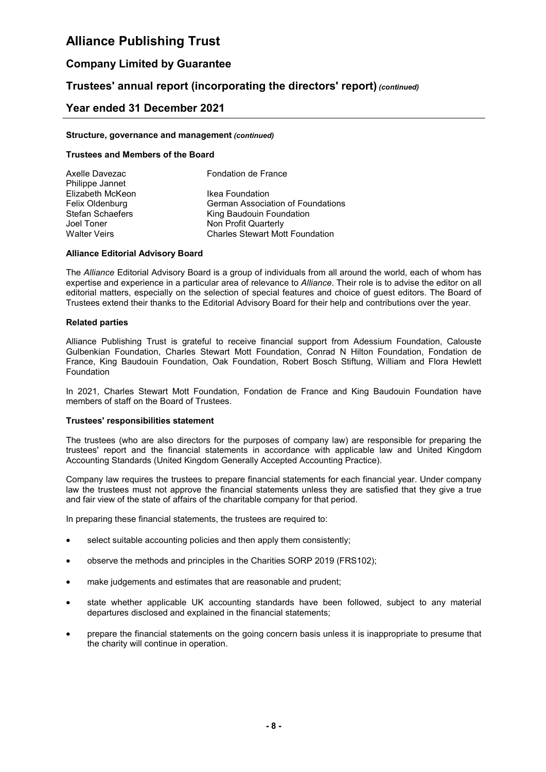### Company Limited by Guarantee

### Trustees' annual report (incorporating the directors' report) (continued)

### Year ended 31 December 2021

#### Structure, governance and management (continued)

#### Trustees and Members of the Board

| Axelle Davezac   | <b>Fondation de France</b>               |
|------------------|------------------------------------------|
| Philippe Jannet  |                                          |
| Elizabeth McKeon | Ikea Foundation                          |
| Felix Oldenburg  | <b>German Association of Foundations</b> |
| Stefan Schaefers | King Baudouin Foundation                 |
| Joel Toner       | Non Profit Quarterly                     |
| Walter Veirs     | <b>Charles Stewart Mott Foundation</b>   |
|                  |                                          |

#### Alliance Editorial Advisory Board

The Alliance Editorial Advisory Board is a group of individuals from all around the world, each of whom has expertise and experience in a particular area of relevance to Alliance. Their role is to advise the editor on all editorial matters, especially on the selection of special features and choice of guest editors. The Board of Trustees extend their thanks to the Editorial Advisory Board for their help and contributions over the year.

#### Related parties

Alliance Publishing Trust is grateful to receive financial support from Adessium Foundation, Calouste Gulbenkian Foundation, Charles Stewart Mott Foundation, Conrad N Hilton Foundation, Fondation de France, King Baudouin Foundation, Oak Foundation, Robert Bosch Stiftung, William and Flora Hewlett Foundation

In 2021, Charles Stewart Mott Foundation, Fondation de France and King Baudouin Foundation have members of staff on the Board of Trustees.

#### Trustees' responsibilities statement

The trustees (who are also directors for the purposes of company law) are responsible for preparing the trustees' report and the financial statements in accordance with applicable law and United Kingdom Accounting Standards (United Kingdom Generally Accepted Accounting Practice).

Company law requires the trustees to prepare financial statements for each financial year. Under company law the trustees must not approve the financial statements unless they are satisfied that they give a true and fair view of the state of affairs of the charitable company for that period.

In preparing these financial statements, the trustees are required to:

- select suitable accounting policies and then apply them consistently;
- observe the methods and principles in the Charities SORP 2019 (FRS102);
- make judgements and estimates that are reasonable and prudent;
- state whether applicable UK accounting standards have been followed, subject to any material departures disclosed and explained in the financial statements;
- prepare the financial statements on the going concern basis unless it is inappropriate to presume that the charity will continue in operation.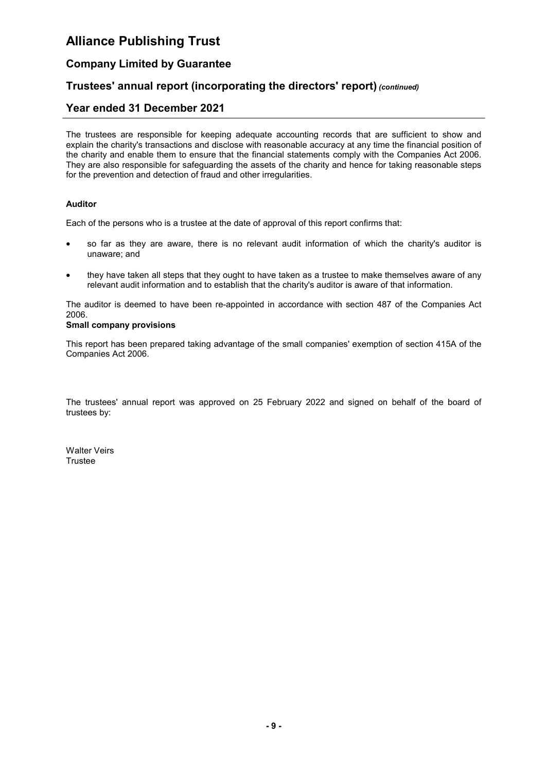### Company Limited by Guarantee

### Trustees' annual report (incorporating the directors' report) (continued)

### Year ended 31 December 2021

The trustees are responsible for keeping adequate accounting records that are sufficient to show and explain the charity's transactions and disclose with reasonable accuracy at any time the financial position of the charity and enable them to ensure that the financial statements comply with the Companies Act 2006. They are also responsible for safeguarding the assets of the charity and hence for taking reasonable steps for the prevention and detection of fraud and other irregularities.

#### Auditor

Each of the persons who is a trustee at the date of approval of this report confirms that:

- so far as they are aware, there is no relevant audit information of which the charity's auditor is unaware; and
- they have taken all steps that they ought to have taken as a trustee to make themselves aware of any relevant audit information and to establish that the charity's auditor is aware of that information.

The auditor is deemed to have been re-appointed in accordance with section 487 of the Companies Act 2006.

#### Small company provisions

This report has been prepared taking advantage of the small companies' exemption of section 415A of the Companies Act 2006.

The trustees' annual report was approved on 25 February 2022 and signed on behalf of the board of trustees by:

Walter Veirs **Trustee**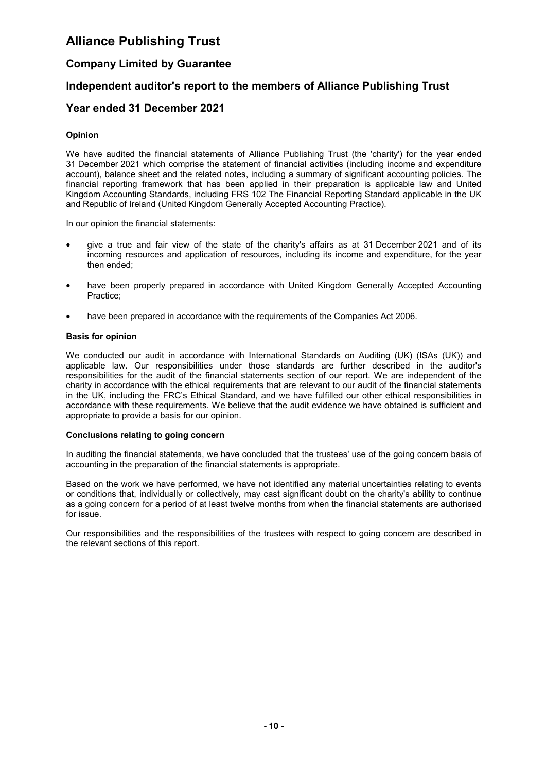### Company Limited by Guarantee

### Independent auditor's report to the members of Alliance Publishing Trust

### Year ended 31 December 2021

#### Opinion

We have audited the financial statements of Alliance Publishing Trust (the 'charity') for the year ended 31 December 2021 which comprise the statement of financial activities (including income and expenditure account), balance sheet and the related notes, including a summary of significant accounting policies. The financial reporting framework that has been applied in their preparation is applicable law and United Kingdom Accounting Standards, including FRS 102 The Financial Reporting Standard applicable in the UK and Republic of Ireland (United Kingdom Generally Accepted Accounting Practice).

In our opinion the financial statements:

- give a true and fair view of the state of the charity's affairs as at 31 December 2021 and of its incoming resources and application of resources, including its income and expenditure, for the year then ended;
- have been properly prepared in accordance with United Kingdom Generally Accepted Accounting Practice;
- have been prepared in accordance with the requirements of the Companies Act 2006.

#### Basis for opinion

We conducted our audit in accordance with International Standards on Auditing (UK) (ISAs (UK)) and applicable law. Our responsibilities under those standards are further described in the auditor's responsibilities for the audit of the financial statements section of our report. We are independent of the charity in accordance with the ethical requirements that are relevant to our audit of the financial statements in the UK, including the FRC's Ethical Standard, and we have fulfilled our other ethical responsibilities in accordance with these requirements. We believe that the audit evidence we have obtained is sufficient and appropriate to provide a basis for our opinion.

#### Conclusions relating to going concern

In auditing the financial statements, we have concluded that the trustees' use of the going concern basis of accounting in the preparation of the financial statements is appropriate.

Based on the work we have performed, we have not identified any material uncertainties relating to events or conditions that, individually or collectively, may cast significant doubt on the charity's ability to continue as a going concern for a period of at least twelve months from when the financial statements are authorised for issue.

Our responsibilities and the responsibilities of the trustees with respect to going concern are described in the relevant sections of this report.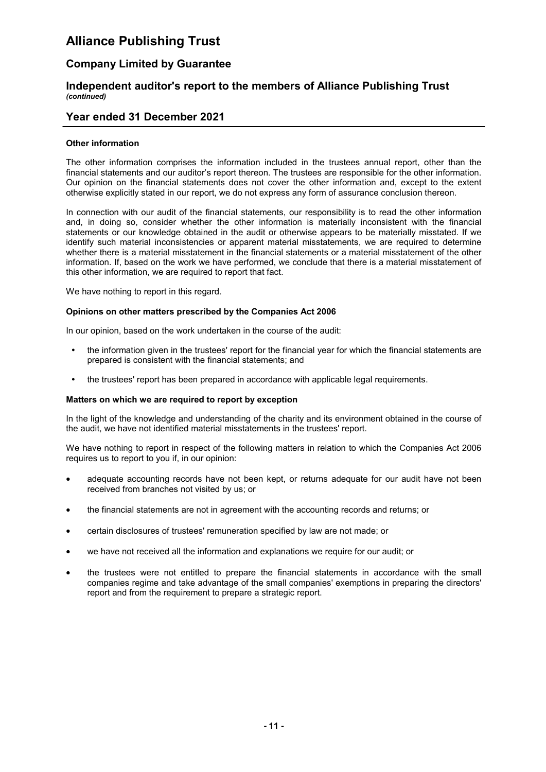### Company Limited by Guarantee

#### Independent auditor's report to the members of Alliance Publishing Trust (continued)

### Year ended 31 December 2021

#### Other information

The other information comprises the information included in the trustees annual report, other than the financial statements and our auditor's report thereon. The trustees are responsible for the other information. Our opinion on the financial statements does not cover the other information and, except to the extent otherwise explicitly stated in our report, we do not express any form of assurance conclusion thereon.

In connection with our audit of the financial statements, our responsibility is to read the other information and, in doing so, consider whether the other information is materially inconsistent with the financial statements or our knowledge obtained in the audit or otherwise appears to be materially misstated. If we identify such material inconsistencies or apparent material misstatements, we are required to determine whether there is a material misstatement in the financial statements or a material misstatement of the other information. If, based on the work we have performed, we conclude that there is a material misstatement of this other information, we are required to report that fact.

We have nothing to report in this regard.

#### Opinions on other matters prescribed by the Companies Act 2006

In our opinion, based on the work undertaken in the course of the audit:

- the information given in the trustees' report for the financial year for which the financial statements are prepared is consistent with the financial statements; and
- the trustees' report has been prepared in accordance with applicable legal requirements.

#### Matters on which we are required to report by exception

In the light of the knowledge and understanding of the charity and its environment obtained in the course of the audit, we have not identified material misstatements in the trustees' report.

We have nothing to report in respect of the following matters in relation to which the Companies Act 2006 requires us to report to you if, in our opinion:

- adequate accounting records have not been kept, or returns adequate for our audit have not been received from branches not visited by us; or
- the financial statements are not in agreement with the accounting records and returns; or
- certain disclosures of trustees' remuneration specified by law are not made; or
- we have not received all the information and explanations we require for our audit; or
- the trustees were not entitled to prepare the financial statements in accordance with the small companies regime and take advantage of the small companies' exemptions in preparing the directors' report and from the requirement to prepare a strategic report.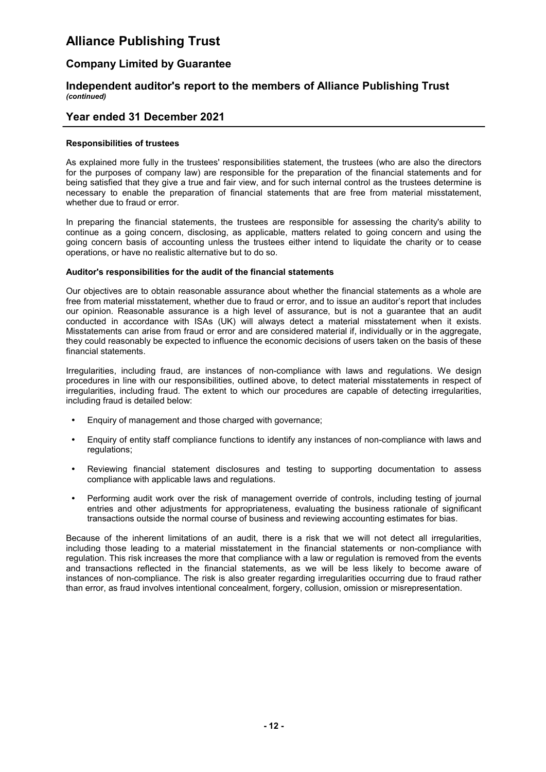### Company Limited by Guarantee

#### Independent auditor's report to the members of Alliance Publishing Trust (continued)

### Year ended 31 December 2021

#### Responsibilities of trustees

As explained more fully in the trustees' responsibilities statement, the trustees (who are also the directors for the purposes of company law) are responsible for the preparation of the financial statements and for being satisfied that they give a true and fair view, and for such internal control as the trustees determine is necessary to enable the preparation of financial statements that are free from material misstatement, whether due to fraud or error.

In preparing the financial statements, the trustees are responsible for assessing the charity's ability to continue as a going concern, disclosing, as applicable, matters related to going concern and using the going concern basis of accounting unless the trustees either intend to liquidate the charity or to cease operations, or have no realistic alternative but to do so.

#### Auditor's responsibilities for the audit of the financial statements

Our objectives are to obtain reasonable assurance about whether the financial statements as a whole are free from material misstatement, whether due to fraud or error, and to issue an auditor's report that includes our opinion. Reasonable assurance is a high level of assurance, but is not a guarantee that an audit conducted in accordance with ISAs (UK) will always detect a material misstatement when it exists. Misstatements can arise from fraud or error and are considered material if, individually or in the aggregate, they could reasonably be expected to influence the economic decisions of users taken on the basis of these financial statements.

Irregularities, including fraud, are instances of non-compliance with laws and regulations. We design procedures in line with our responsibilities, outlined above, to detect material misstatements in respect of irregularities, including fraud. The extent to which our procedures are capable of detecting irregularities, including fraud is detailed below:

- Enquiry of management and those charged with governance;
- Enquiry of entity staff compliance functions to identify any instances of non-compliance with laws and regulations;
- Reviewing financial statement disclosures and testing to supporting documentation to assess compliance with applicable laws and regulations.
- Performing audit work over the risk of management override of controls, including testing of journal entries and other adjustments for appropriateness, evaluating the business rationale of significant transactions outside the normal course of business and reviewing accounting estimates for bias.

Because of the inherent limitations of an audit, there is a risk that we will not detect all irregularities, including those leading to a material misstatement in the financial statements or non-compliance with regulation. This risk increases the more that compliance with a law or regulation is removed from the events and transactions reflected in the financial statements, as we will be less likely to become aware of instances of non-compliance. The risk is also greater regarding irregularities occurring due to fraud rather than error, as fraud involves intentional concealment, forgery, collusion, omission or misrepresentation.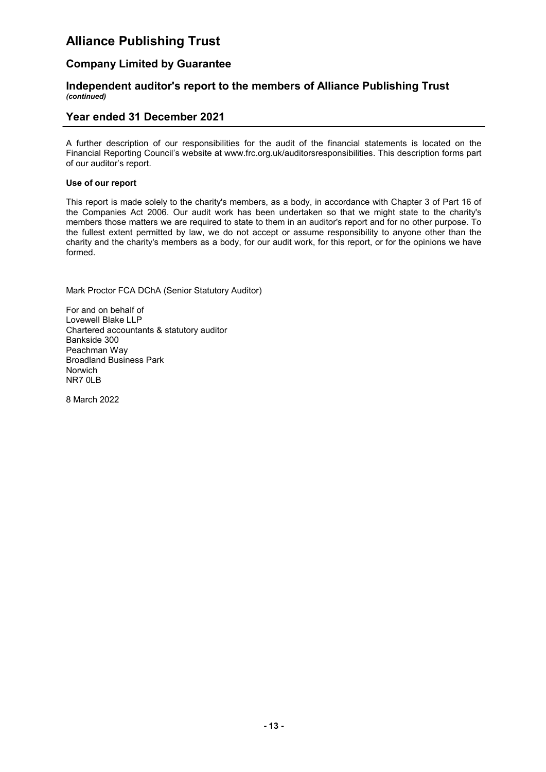### Company Limited by Guarantee

#### Independent auditor's report to the members of Alliance Publishing Trust (continued)

### Year ended 31 December 2021

A further description of our responsibilities for the audit of the financial statements is located on the Financial Reporting Council's website at www.frc.org.uk/auditorsresponsibilities. This description forms part of our auditor's report.

#### Use of our report

This report is made solely to the charity's members, as a body, in accordance with Chapter 3 of Part 16 of the Companies Act 2006. Our audit work has been undertaken so that we might state to the charity's members those matters we are required to state to them in an auditor's report and for no other purpose. To the fullest extent permitted by law, we do not accept or assume responsibility to anyone other than the charity and the charity's members as a body, for our audit work, for this report, or for the opinions we have formed.

Mark Proctor FCA DChA (Senior Statutory Auditor)

For and on behalf of Lovewell Blake LLP Chartered accountants & statutory auditor Bankside 300 Peachman Way Broadland Business Park Norwich NR7 0LB

8 March 2022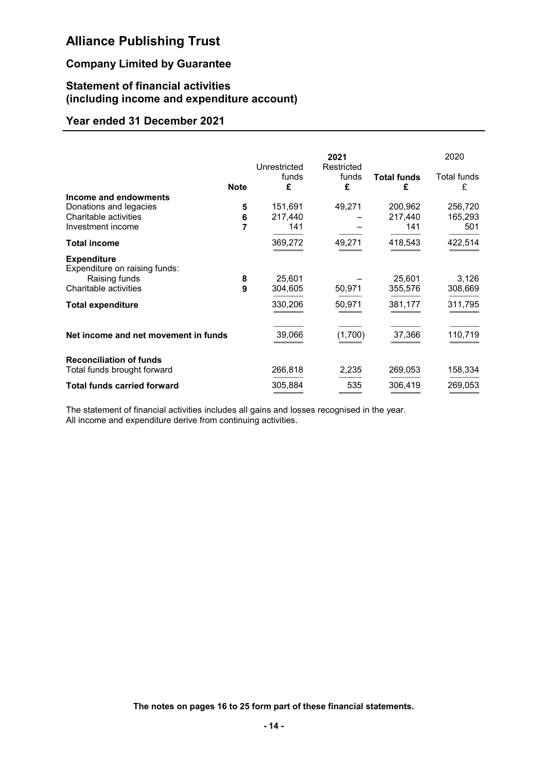## Company Limited by Guarantee

### Statement of financial activities (including income and expenditure account)

### Year ended 31 December 2021

|                                                               |             | Unrestricted | 2021<br>Restricted |                         | 2020             |
|---------------------------------------------------------------|-------------|--------------|--------------------|-------------------------|------------------|
|                                                               | <b>Note</b> | funds<br>£   | funds<br>£         | <b>Total funds</b><br>£ | Total funds<br>£ |
| Income and endowments                                         |             |              |                    |                         |                  |
| Donations and legacies                                        | 5           | 151,691      | 49,271             | 200,962                 | 256,720          |
| Charitable activities                                         | 6           | 217,440      |                    | 217,440                 | 165,293          |
| Investment income                                             | 7           | 141          |                    | 141                     | 501              |
| <b>Total income</b>                                           |             | 369,272      | 49,271             | 418,543                 | 422,514          |
| <b>Expenditure</b><br>Expenditure on raising funds:           |             |              |                    |                         |                  |
| Raising funds                                                 | 8           | 25,601       |                    | 25,601                  | 3,126            |
| Charitable activities                                         | 9           | 304,605      | 50,971             | 355,576                 | 308,669          |
| <b>Total expenditure</b>                                      |             | 330,206      | 50,971             | 381,177                 | 311,795          |
| Net income and net movement in funds                          |             | 39,066       | (1,700)            | 37,366                  | 110,719          |
| <b>Reconciliation of funds</b><br>Total funds brought forward |             | 266,818      | 2,235              | 269,053                 | 158,334          |
| <b>Total funds carried forward</b>                            |             | 305,884      | 535                | 306,419                 | 269,053          |

The statement of financial activities includes all gains and losses recognised in the year. All income and expenditure derive from continuing activities.

The notes on pages 16 to 25 form part of these financial statements.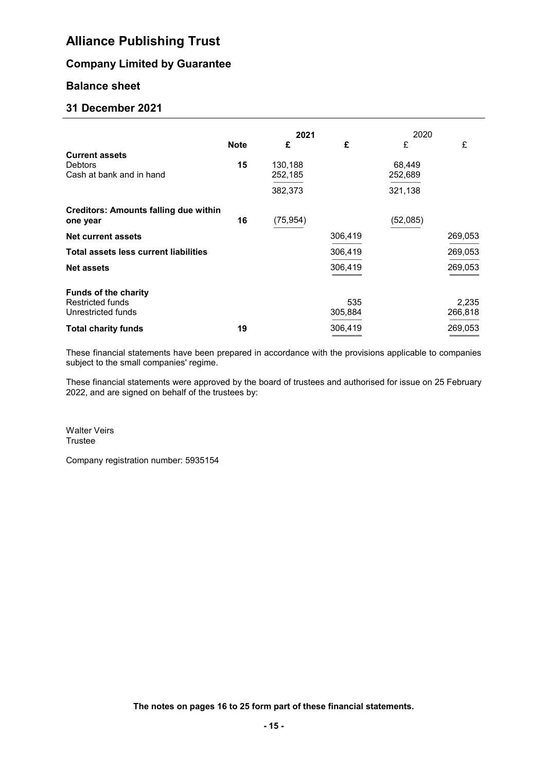### Company Limited by Guarantee

### Balance sheet

### 31 December 2021

|                                              |             | 2021      |         | 2020     |         |
|----------------------------------------------|-------------|-----------|---------|----------|---------|
|                                              | <b>Note</b> | £         | £       | £        | £       |
| <b>Current assets</b>                        |             |           |         |          |         |
| <b>Debtors</b>                               | 15          | 130,188   |         | 68,449   |         |
| Cash at bank and in hand                     |             | 252,185   |         | 252,689  |         |
|                                              |             | 382,373   |         | 321,138  |         |
| <b>Creditors: Amounts falling due within</b> |             |           |         |          |         |
| one year                                     | 16          | (75, 954) |         | (52,085) |         |
| <b>Net current assets</b>                    |             |           | 306,419 |          | 269,053 |
| <b>Total assets less current liabilities</b> |             |           | 306,419 |          | 269,053 |
| <b>Net assets</b>                            |             |           | 306,419 |          | 269,053 |
|                                              |             |           |         |          |         |
| <b>Funds of the charity</b>                  |             |           |         |          |         |
| <b>Restricted funds</b>                      |             |           | 535     |          | 2,235   |
| Unrestricted funds                           |             |           | 305,884 |          | 266,818 |
| <b>Total charity funds</b>                   | 19          |           | 306,419 |          | 269,053 |

These financial statements have been prepared in accordance with the provisions applicable to companies subject to the small companies' regime.

These financial statements were approved by the board of trustees and authorised for issue on 25 February 2022, and are signed on behalf of the trustees by:

Walter Veirs **Trustee** 

Company registration number: 5935154

The notes on pages 16 to 25 form part of these financial statements.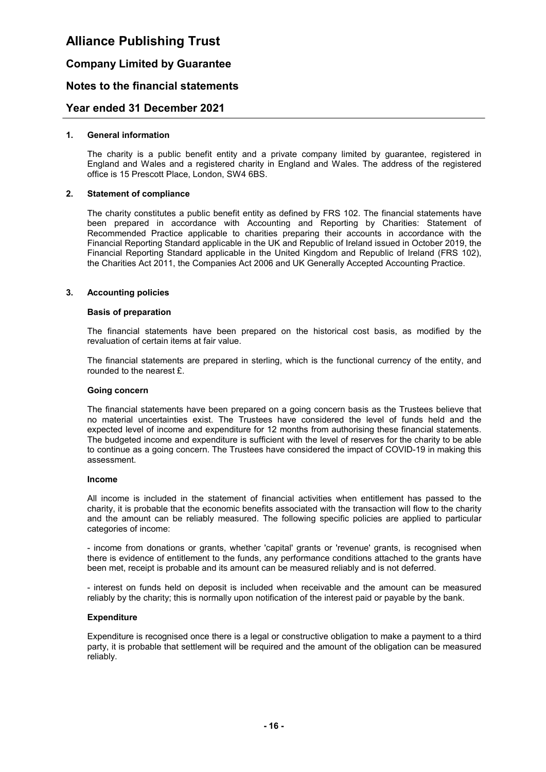### Company Limited by Guarantee

### Notes to the financial statements

### Year ended 31 December 2021

#### 1. General information

The charity is a public benefit entity and a private company limited by guarantee, registered in England and Wales and a registered charity in England and Wales. The address of the registered office is 15 Prescott Place, London, SW4 6BS.

#### 2. Statement of compliance

The charity constitutes a public benefit entity as defined by FRS 102. The financial statements have been prepared in accordance with Accounting and Reporting by Charities: Statement of Recommended Practice applicable to charities preparing their accounts in accordance with the Financial Reporting Standard applicable in the UK and Republic of Ireland issued in October 2019, the Financial Reporting Standard applicable in the United Kingdom and Republic of Ireland (FRS 102), the Charities Act 2011, the Companies Act 2006 and UK Generally Accepted Accounting Practice.

#### 3. Accounting policies

#### Basis of preparation

The financial statements have been prepared on the historical cost basis, as modified by the revaluation of certain items at fair value.

The financial statements are prepared in sterling, which is the functional currency of the entity, and rounded to the nearest £.

#### Going concern

The financial statements have been prepared on a going concern basis as the Trustees believe that no material uncertainties exist. The Trustees have considered the level of funds held and the expected level of income and expenditure for 12 months from authorising these financial statements. The budgeted income and expenditure is sufficient with the level of reserves for the charity to be able to continue as a going concern. The Trustees have considered the impact of COVID-19 in making this assessment.

#### Income

All income is included in the statement of financial activities when entitlement has passed to the charity, it is probable that the economic benefits associated with the transaction will flow to the charity and the amount can be reliably measured. The following specific policies are applied to particular categories of income:

- income from donations or grants, whether 'capital' grants or 'revenue' grants, is recognised when there is evidence of entitlement to the funds, any performance conditions attached to the grants have been met, receipt is probable and its amount can be measured reliably and is not deferred.

- interest on funds held on deposit is included when receivable and the amount can be measured reliably by the charity; this is normally upon notification of the interest paid or payable by the bank.

#### **Expenditure**

Expenditure is recognised once there is a legal or constructive obligation to make a payment to a third party, it is probable that settlement will be required and the amount of the obligation can be measured reliably.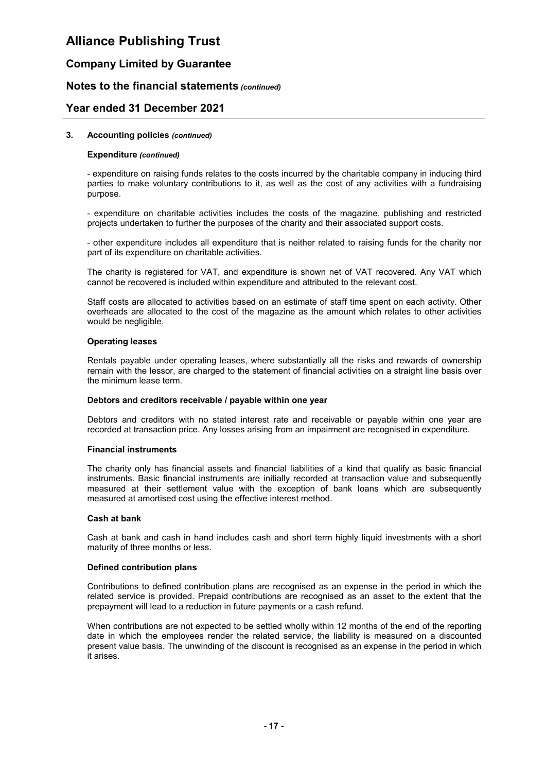### Company Limited by Guarantee

### Notes to the financial statements (continued)

### Year ended 31 December 2021

#### 3. Accounting policies (continued)

#### Expenditure (continued)

- expenditure on raising funds relates to the costs incurred by the charitable company in inducing third parties to make voluntary contributions to it, as well as the cost of any activities with a fundraising purpose.

- expenditure on charitable activities includes the costs of the magazine, publishing and restricted projects undertaken to further the purposes of the charity and their associated support costs.

- other expenditure includes all expenditure that is neither related to raising funds for the charity nor part of its expenditure on charitable activities.

The charity is registered for VAT, and expenditure is shown net of VAT recovered. Any VAT which cannot be recovered is included within expenditure and attributed to the relevant cost.

Staff costs are allocated to activities based on an estimate of staff time spent on each activity. Other overheads are allocated to the cost of the magazine as the amount which relates to other activities would be negligible.

#### Operating leases

Rentals payable under operating leases, where substantially all the risks and rewards of ownership remain with the lessor, are charged to the statement of financial activities on a straight line basis over the minimum lease term.

#### Debtors and creditors receivable / payable within one year

Debtors and creditors with no stated interest rate and receivable or payable within one year are recorded at transaction price. Any losses arising from an impairment are recognised in expenditure.

#### Financial instruments

The charity only has financial assets and financial liabilities of a kind that qualify as basic financial instruments. Basic financial instruments are initially recorded at transaction value and subsequently measured at their settlement value with the exception of bank loans which are subsequently measured at amortised cost using the effective interest method.

#### Cash at bank

Cash at bank and cash in hand includes cash and short term highly liquid investments with a short maturity of three months or less.

#### Defined contribution plans

Contributions to defined contribution plans are recognised as an expense in the period in which the related service is provided. Prepaid contributions are recognised as an asset to the extent that the prepayment will lead to a reduction in future payments or a cash refund.

When contributions are not expected to be settled wholly within 12 months of the end of the reporting date in which the employees render the related service, the liability is measured on a discounted present value basis. The unwinding of the discount is recognised as an expense in the period in which it arises.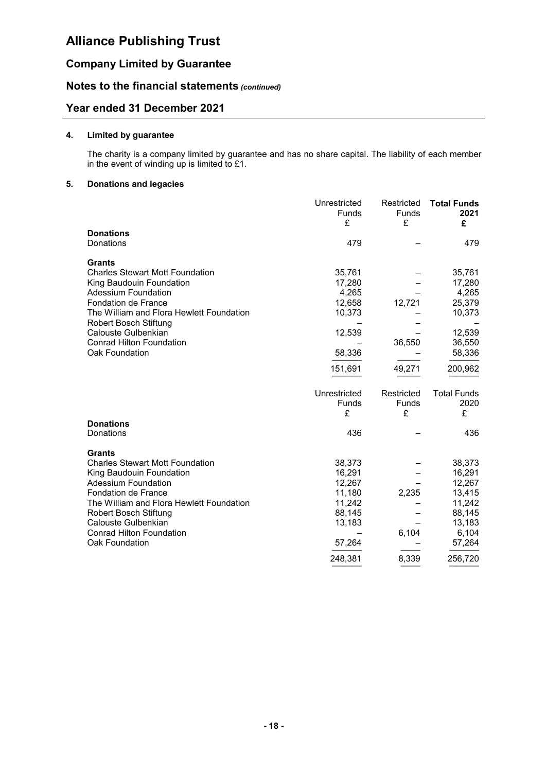### Company Limited by Guarantee

### Notes to the financial statements (continued)

### Year ended 31 December 2021

#### 4. Limited by guarantee

The charity is a company limited by guarantee and has no share capital. The liability of each member in the event of winding up is limited to £1.

#### 5. Donations and legacies

|                                          | Unrestricted<br>Funds | Restricted<br><b>Funds</b> | <b>Total Funds</b><br>2021 |
|------------------------------------------|-----------------------|----------------------------|----------------------------|
|                                          | £                     | £                          | £                          |
| <b>Donations</b>                         |                       |                            |                            |
| Donations                                | 479                   |                            | 479                        |
| <b>Grants</b>                            |                       |                            |                            |
| <b>Charles Stewart Mott Foundation</b>   | 35,761                |                            | 35,761                     |
| King Baudouin Foundation                 | 17,280                |                            | 17,280                     |
| <b>Adessium Foundation</b>               | 4,265                 |                            | 4,265                      |
| Fondation de France                      | 12,658                | 12,721                     | 25,379                     |
| The William and Flora Hewlett Foundation | 10,373                |                            | 10,373                     |
| Robert Bosch Stiftung                    |                       |                            |                            |
| Calouste Gulbenkian                      | 12,539                |                            | 12,539                     |
| <b>Conrad Hilton Foundation</b>          |                       | 36,550                     | 36,550                     |
| Oak Foundation                           | 58,336                |                            | 58,336                     |
|                                          | 151,691               | 49,271                     | 200,962                    |
|                                          |                       |                            |                            |
|                                          | Unrestricted          | Restricted                 | <b>Total Funds</b>         |
|                                          | <b>Funds</b>          | Funds                      | 2020                       |
|                                          | £                     | £                          | £                          |
| <b>Donations</b>                         |                       |                            |                            |
| Donations                                | 436                   |                            | 436                        |
| <b>Grants</b>                            |                       |                            |                            |
| <b>Charles Stewart Mott Foundation</b>   | 38,373                |                            | 38,373                     |
| King Baudouin Foundation                 | 16,291                |                            | 16,291                     |
| <b>Adessium Foundation</b>               | 12,267                |                            | 12,267                     |
| <b>Fondation de France</b>               | 11,180                | 2,235                      | 13,415                     |
| The William and Flora Hewlett Foundation | 11,242                |                            | 11,242                     |
| Robert Bosch Stiftung                    | 88,145                |                            | 88,145                     |
| Calouste Gulbenkian                      | 13,183                |                            | 13,183                     |
| <b>Conrad Hilton Foundation</b>          |                       | 6,104                      | 6,104                      |
| Oak Foundation                           | 57,264                |                            | 57,264                     |
|                                          |                       |                            |                            |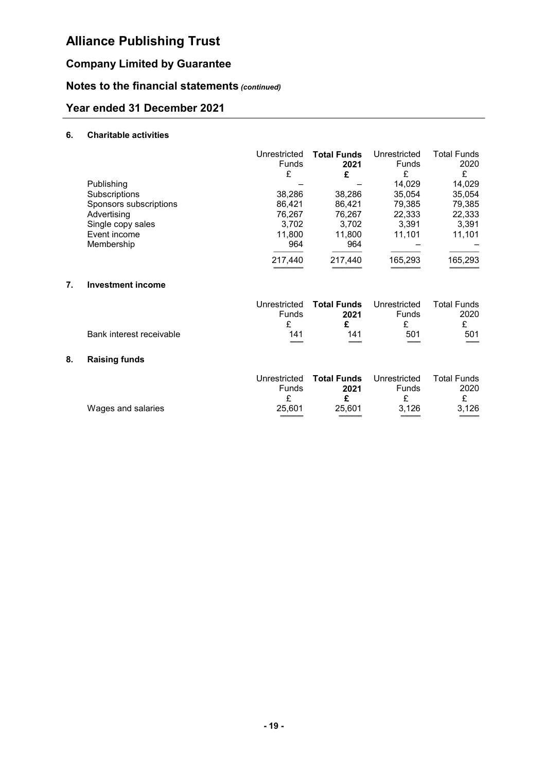## Company Limited by Guarantee

## Notes to the financial statements (continued)

## Year ended 31 December 2021

### 6. Charitable activities

|                        | Unrestricted | <b>Total Funds</b> | Unrestricted | <b>Total Funds</b> |
|------------------------|--------------|--------------------|--------------|--------------------|
|                        | <b>Funds</b> | 2021               | Funds        | 2020               |
|                        | £            | £                  | £            | £                  |
| Publishing             |              |                    | 14.029       | 14,029             |
| Subscriptions          | 38,286       | 38,286             | 35,054       | 35,054             |
| Sponsors subscriptions | 86.421       | 86.421             | 79,385       | 79,385             |
| Advertising            | 76.267       | 76,267             | 22,333       | 22,333             |
| Single copy sales      | 3,702        | 3,702              | 3.391        | 3,391              |
| Event income           | 11,800       | 11,800             | 11.101       | 11.101             |
| Membership             | 964          | 964                |              |                    |
|                        | 217,440      | 217,440            | 165,293      | 165,293            |

### 7. Investment income

|                          |            | Unrestricted Total Funds Unrestricted |              | Total Funds              |
|--------------------------|------------|---------------------------------------|--------------|--------------------------|
|                          | Funds      | 2021                                  | <b>Funds</b> | 2020                     |
|                          |            |                                       |              |                          |
| Bank interest receivable | 141<br>___ | 141                                   | 501<br>___   | 501<br>$\qquad \qquad =$ |

### 8. Raising funds

|                    |        | Unrestricted <b>Total Funds</b> Unrestricted |       | <b>Total Funds</b> |
|--------------------|--------|----------------------------------------------|-------|--------------------|
|                    | Funds  | 2021                                         | Funds | 2020               |
| Wages and salaries | 25.601 | 25.601                                       | 3.126 | 3.126              |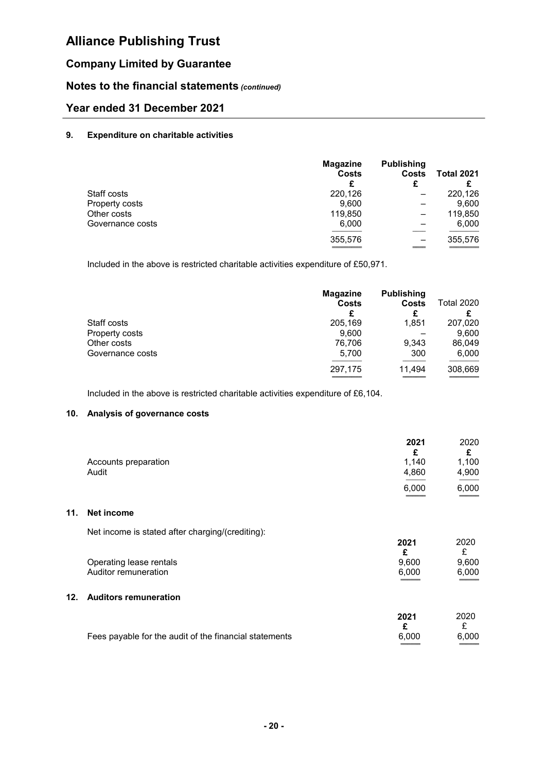## Company Limited by Guarantee

### Notes to the financial statements (continued)

## Year ended 31 December 2021

#### 9. Expenditure on charitable activities

|                  | <b>Magazine</b><br><b>Costs</b><br>£ | <b>Publishing</b><br><b>Costs</b><br>£ | <b>Total 2021</b> |
|------------------|--------------------------------------|----------------------------------------|-------------------|
| Staff costs      | 220,126                              |                                        | 220,126           |
| Property costs   | 9,600                                |                                        | 9,600             |
| Other costs      | 119,850                              |                                        | 119,850           |
| Governance costs | 6,000                                |                                        | 6,000             |
|                  | 355,576                              |                                        | 355,576           |

Included in the above is restricted charitable activities expenditure of £50,971.

|                  | <b>Magazine</b><br>Costs<br>£ | <b>Publishing</b><br>Costs<br>£ | <b>Total 2020</b> |
|------------------|-------------------------------|---------------------------------|-------------------|
| Staff costs      | 205,169                       | 1,851                           | 207,020           |
| Property costs   | 9,600                         |                                 | 9,600             |
| Other costs      | 76,706                        | 9,343                           | 86,049            |
| Governance costs | 5,700                         | 300                             | 6,000             |
|                  | 297,175                       | 11,494                          | 308,669           |

Included in the above is restricted charitable activities expenditure of £6,104.

#### 10. Analysis of governance costs

|                               | 2021<br>c      | 2020           |
|-------------------------------|----------------|----------------|
| Accounts preparation<br>Audit | 1.140<br>4,860 | 1,100<br>4,900 |
|                               | 6,000          | 6,000          |
|                               |                | ____           |

### 11. Net income

Net income is stated after charging/(crediting):

|                         |  | 2021  | 2020  |
|-------------------------|--|-------|-------|
| Operating lease rentals |  | 9.600 | 9.600 |
| Auditor remuneration    |  | 6.000 | 6.000 |
|                         |  |       | _____ |

### 12. Auditors remuneration

|                                                        | 2021  | 2020  |
|--------------------------------------------------------|-------|-------|
|                                                        |       |       |
| Fees payable for the audit of the financial statements | 6.000 | 6.000 |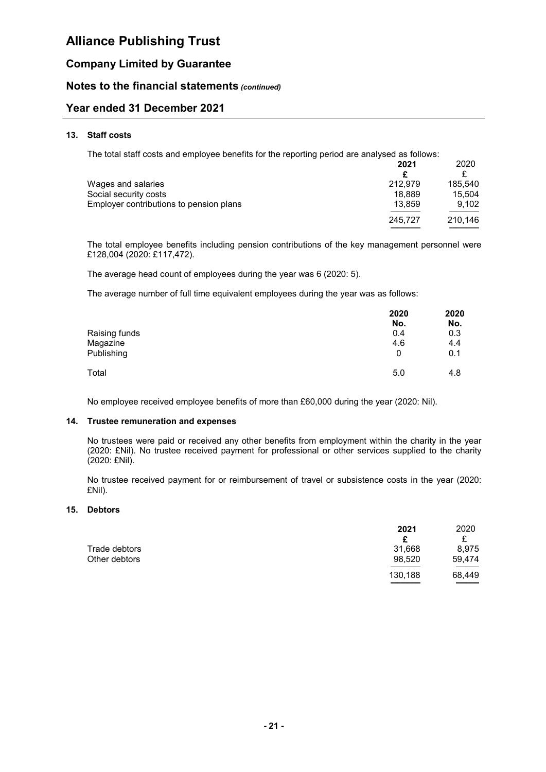### Company Limited by Guarantee

### Notes to the financial statements (continued)

### Year ended 31 December 2021

#### 13. Staff costs

The total staff costs and employee benefits for the reporting period are analysed as follows:

|                                         | 2021    | 2020    |
|-----------------------------------------|---------|---------|
|                                         |         |         |
| Wages and salaries                      | 212.979 | 185.540 |
| Social security costs                   | 18.889  | 15,504  |
| Employer contributions to pension plans | 13.859  | 9.102   |
|                                         | 245.727 | 210,146 |
|                                         |         |         |

The total employee benefits including pension contributions of the key management personnel were £128,004 (2020: £117,472).

The average head count of employees during the year was 6 (2020: 5).

The average number of full time equivalent employees during the year was as follows:

|               | 2020 | 2020 |
|---------------|------|------|
|               | No.  | No.  |
| Raising funds | 0.4  | 0.3  |
| Magazine      | 4.6  | 4.4  |
| Publishing    | 0    | 0.1  |
| Total         | 5.0  | 4.8  |

No employee received employee benefits of more than £60,000 during the year (2020: Nil).

#### 14. Trustee remuneration and expenses

No trustees were paid or received any other benefits from employment within the charity in the year (2020: £Nil). No trustee received payment for professional or other services supplied to the charity (2020: £Nil).

No trustee received payment for or reimbursement of travel or subsistence costs in the year (2020: £Nil).

#### 15. Debtors

|               | 2021    | 2020                                                 |
|---------------|---------|------------------------------------------------------|
|               | £       | £                                                    |
| Trade debtors | 31,668  | 8,975                                                |
| Other debtors | 98,520  | 59,474                                               |
|               | 130,188 | 68,449<br>$\qquad \qquad \overbrace{\qquad \qquad }$ |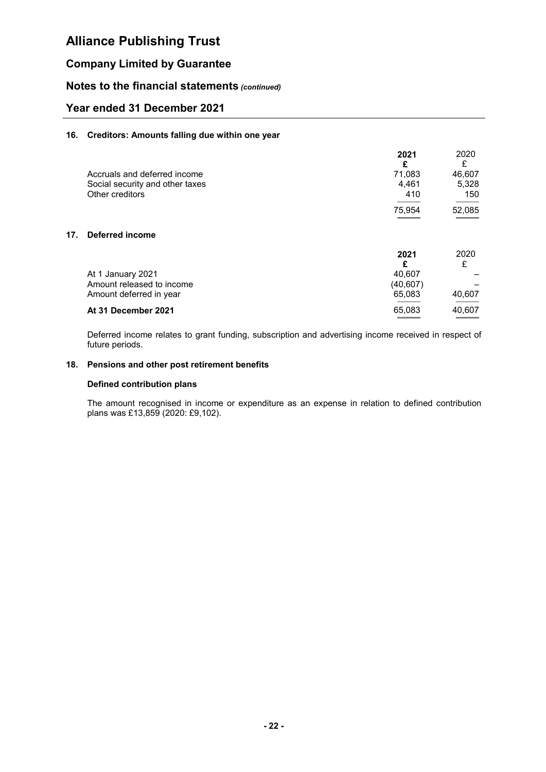### Company Limited by Guarantee

### Notes to the financial statements (continued)

### Year ended 31 December 2021

#### 16. Creditors: Amounts falling due within one year

|                                 | 2021<br>£ | 2020<br>£ |
|---------------------------------|-----------|-----------|
| Accruals and deferred income    | 71.083    | 46,607    |
| Social security and other taxes | 4.461     | 5,328     |
| Other creditors                 | 410       | 150       |
|                                 |           |           |
|                                 | 75.954    | 52,085    |

#### 17. Deferred income

|                           | 2021      | 2020   |
|---------------------------|-----------|--------|
|                           | £         |        |
| At 1 January 2021         | 40.607    |        |
| Amount released to income | (40, 607) |        |
| Amount deferred in year   | 65.083    | 40,607 |
| At 31 December 2021       | 65.083    | 40,607 |

Deferred income relates to grant funding, subscription and advertising income received in respect of future periods.

### 18. Pensions and other post retirement benefits

#### Defined contribution plans

The amount recognised in income or expenditure as an expense in relation to defined contribution plans was £13,859 (2020: £9,102).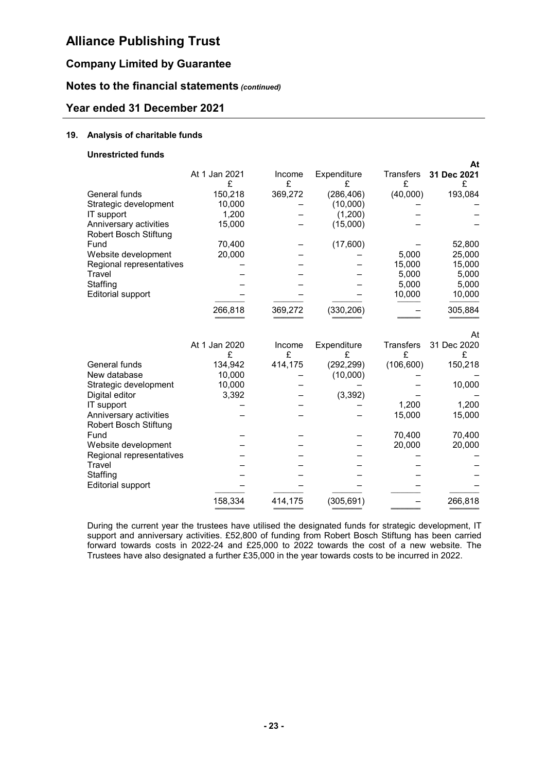## Company Limited by Guarantee

### Notes to the financial statements (continued)

### Year ended 31 December 2021

#### 19. Analysis of charitable funds

#### Unrestricted funds

|                                                 |                    |             |                  |                  | At               |
|-------------------------------------------------|--------------------|-------------|------------------|------------------|------------------|
|                                                 | At 1 Jan 2021<br>£ | Income<br>£ | Expenditure<br>£ | Transfers<br>£   | 31 Dec 2021<br>£ |
| General funds                                   | 150,218            | 369,272     | (286, 406)       | (40,000)         | 193,084          |
| Strategic development                           | 10,000             |             | (10,000)         |                  |                  |
| IT support                                      | 1,200              |             | (1,200)          |                  |                  |
| Anniversary activities<br>Robert Bosch Stiftung | 15,000             |             | (15,000)         |                  |                  |
| Fund                                            | 70,400             |             | (17,600)         |                  | 52,800           |
| Website development                             | 20,000             |             |                  | 5,000            | 25,000           |
| Regional representatives                        |                    |             |                  | 15,000           | 15,000           |
| Travel                                          |                    |             |                  | 5,000            | 5,000            |
| Staffing                                        |                    |             |                  | 5,000            | 5,000            |
| <b>Editorial support</b>                        |                    |             |                  | 10,000           | 10,000           |
|                                                 | 266,818            | 369,272     | (330, 206)       |                  | 305,884          |
|                                                 |                    |             |                  |                  | At               |
|                                                 | At 1 Jan 2020      | Income      | Expenditure      | <b>Transfers</b> | 31 Dec 2020      |
|                                                 | £                  | £           | £                | £                | £                |
| General funds                                   | 134,942            | 414,175     | (292, 299)       | (106, 600)       | 150,218          |
| New database                                    | 10,000             |             | (10,000)         |                  |                  |
| Strategic development                           | 10,000             |             |                  |                  | 10,000           |
| Digital editor                                  | 3,392              |             | (3, 392)         |                  |                  |
| IT support                                      |                    |             |                  | 1,200            | 1,200            |
| Anniversary activities                          |                    |             |                  | 15,000           | 15,000           |
| <b>Robert Bosch Stiftung</b><br>Fund            |                    |             |                  | 70,400           | 70,400           |
| Website development                             |                    |             |                  | 20,000           | 20,000           |
| Regional representatives                        |                    |             |                  |                  |                  |
| Travel                                          |                    |             |                  |                  |                  |
| Staffing                                        |                    |             |                  |                  |                  |
| Editorial support                               |                    |             |                  |                  |                  |
|                                                 | 158,334            | 414,175     | (305, 691)       |                  | 266,818          |
|                                                 |                    |             |                  |                  |                  |

During the current year the trustees have utilised the designated funds for strategic development, IT support and anniversary activities. £52,800 of funding from Robert Bosch Stiftung has been carried forward towards costs in 2022-24 and £25,000 to 2022 towards the cost of a new website. The Trustees have also designated a further £35,000 in the year towards costs to be incurred in 2022.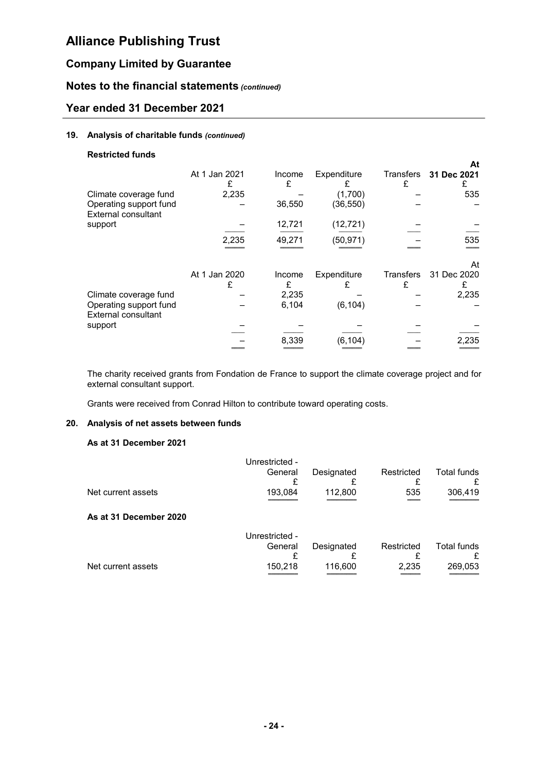## Company Limited by Guarantee

### Notes to the financial statements (continued)

### Year ended 31 December 2021

#### 19. Analysis of charitable funds (continued)

#### Restricted funds

| Climate coverage fund<br>Operating support fund<br>External consultant | At 1 Jan 2021<br>2,235 | Income<br>£<br>36,550 | Expenditure<br>(1,700)<br>(36, 550) | Transfers<br>£        | At<br>31 Dec 2021<br>535 |
|------------------------------------------------------------------------|------------------------|-----------------------|-------------------------------------|-----------------------|--------------------------|
| support                                                                | 2,235                  | 12,721<br>49,271      | (12, 721)<br>(50, 971)              |                       | 535                      |
|                                                                        |                        |                       |                                     |                       | At                       |
|                                                                        | At 1 Jan 2020          | Income<br>£           | Expenditure                         | <b>Transfers</b><br>£ | 31 Dec 2020              |
| Climate coverage fund<br>Operating support fund<br>External consultant |                        | 2,235<br>6,104        | (6, 104)                            |                       | 2,235                    |
| support                                                                |                        | 8,339                 | (6.104`                             |                       | 2.235                    |

The charity received grants from Fondation de France to support the climate coverage project and for external consultant support.

Grants were received from Conrad Hilton to contribute toward operating costs.

#### 20. Analysis of net assets between funds

#### As at 31 December 2021

|                        | Unrestricted - |            |            |             |
|------------------------|----------------|------------|------------|-------------|
|                        | General        | Designated | Restricted | Total funds |
|                        |                |            |            |             |
| Net current assets     | 193,084        | 112,800    | 535        | 306,419     |
|                        |                |            |            |             |
| As at 31 December 2020 |                |            |            |             |
|                        | Unrestricted - |            |            |             |
|                        | General        | Designated | Restricted | Total funds |
|                        |                |            |            |             |
| Net current assets     | 150,218        | 116,600    | 2,235      | 269,053     |
|                        |                |            |            |             |